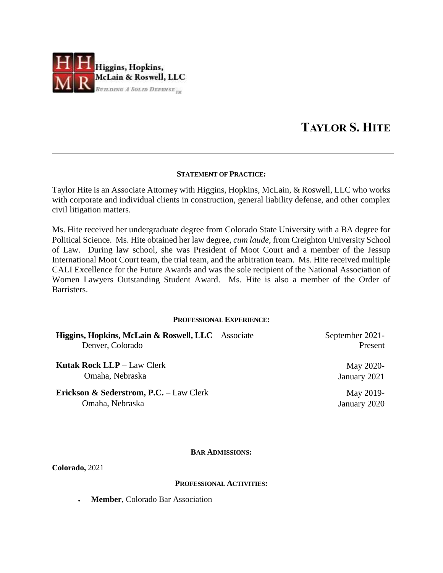

# **TAYLOR S. HITE**

## **STATEMENT OF PRACTICE:**

Taylor Hite is an Associate Attorney with Higgins, Hopkins, McLain, & Roswell, LLC who works with corporate and individual clients in construction, general liability defense, and other complex civil litigation matters.

Ms. Hite received her undergraduate degree from Colorado State University with a BA degree for Political Science. Ms. Hite obtained her law degree, *cum laude*, from Creighton University School of Law. During law school, she was President of Moot Court and a member of the Jessup International Moot Court team, the trial team, and the arbitration team. Ms. Hite received multiple CALI Excellence for the Future Awards and was the sole recipient of the National Association of Women Lawyers Outstanding Student Award. Ms. Hite is also a member of the Order of Barristers.

## **PROFESSIONAL EXPERIENCE:**

| Higgins, Hopkins, McLain & Roswell, LLC – Associate | September 2021- |
|-----------------------------------------------------|-----------------|
| Denver, Colorado                                    | Present         |
| <b>Kutak Rock LLP</b> $-$ Law Clerk                 | May 2020-       |
| Omaha, Nebraska                                     | January 2021    |
| <b>Erickson &amp; Sederstrom, P.C.</b> – Law Clerk  | May 2019-       |
| Omaha, Nebraska                                     | January 2020    |

## **BAR ADMISSIONS:**

**Colorado,** 2021

## **PROFESSIONAL ACTIVITIES:**

**Member**, Colorado Bar Association